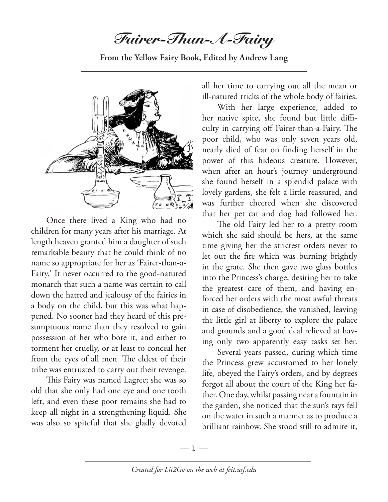*Fairer-Than-A-Fairy*

**From the Yellow Fairy Book, Edited by Andrew Lang**



Once there lived a King who had no children for many years after his marriage. At length heaven granted him a daughter of such remarkable beauty that he could think of no name so appropriate for her as 'Fairer-than-a-Fairy.' It never occurred to the good-natured monarch that such a name was certain to call down the hatred and jealousy of the fairies in a body on the child, but this was what happened. No sooner had they heard of this presumptuous name than they resolved to gain possession of her who bore it, and either to torment her cruelly, or at least to conceal her from the eyes of all men. The eldest of their tribe was entrusted to carry out their revenge.

This Fairy was named Lagree; she was so old that she only had one eye and one tooth left, and even these poor remains she had to keep all night in a strengthening liquid. She was also so spiteful that she gladly devoted

all her time to carrying out all the mean or ill-natured tricks of the whole body of fairies.

With her large experience, added to her native spite, she found but little difficulty in carrying off Fairer-than-a-Fairy. The poor child, who was only seven years old, nearly died of fear on finding herself in the power of this hideous creature. However, when after an hour's journey underground she found herself in a splendid palace with lovely gardens, she felt a little reassured, and was further cheered when she discovered that her pet cat and dog had followed her.

The old Fairy led her to a pretty room which she said should be hers, at the same time giving her the strictest orders never to let out the fire which was burning brightly in the grate. She then gave two glass bottles into the Princess's charge, desiring her to take the greatest care of them, and having enforced her orders with the most awful threats in case of disobedience, she vanished, leaving the little girl at liberty to explore the palace and grounds and a good deal relieved at having only two apparently easy tasks set her.

Several years passed, during which time the Princess grew accustomed to her lonely life, obeyed the Fairy's orders, and by degrees forgot all about the court of the King her father. One day, whilst passing near a fountain in the garden, she noticed that the sun's rays fell on the water in such a manner as to produce a brilliant rainbow. She stood still to admire it,

 $-1-$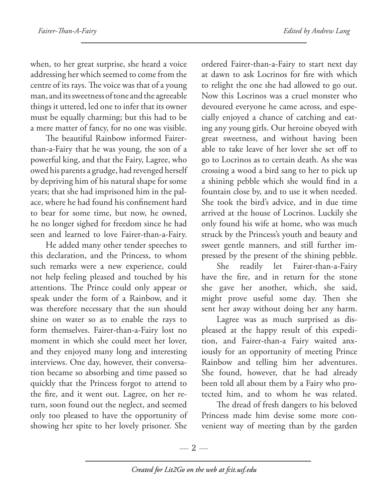when, to her great surprise, she heard a voice addressing her which seemed to come from the centre of its rays. The voice was that of a young man, and its sweetness of tone and the agreeable things it uttered, led one to infer that its owner must be equally charming; but this had to be a mere matter of fancy, for no one was visible.

The beautiful Rainbow informed Fairerthan-a-Fairy that he was young, the son of a powerful king, and that the Fairy, Lagree, who owed his parents a grudge, had revenged herself by depriving him of his natural shape for some years; that she had imprisoned him in the palace, where he had found his confinement hard to bear for some time, but now, he owned, he no longer sighed for freedom since he had seen and learned to love Fairer-than-a-Fairy.

He added many other tender speeches to this declaration, and the Princess, to whom such remarks were a new experience, could not help feeling pleased and touched by his attentions. The Prince could only appear or speak under the form of a Rainbow, and it was therefore necessary that the sun should shine on water so as to enable the rays to form themselves. Fairer-than-a-Fairy lost no moment in which she could meet her lover, and they enjoyed many long and interesting interviews. One day, however, their conversation became so absorbing and time passed so quickly that the Princess forgot to attend to the fire, and it went out. Lagree, on her return, soon found out the neglect, and seemed only too pleased to have the opportunity of showing her spite to her lovely prisoner. She

ordered Fairer-than-a-Fairy to start next day at dawn to ask Locrinos for fire with which to relight the one she had allowed to go out. Now this Locrinos was a cruel monster who devoured everyone he came across, and especially enjoyed a chance of catching and eating any young girls. Our heroine obeyed with great sweetness, and without having been able to take leave of her lover she set off to go to Locrinos as to certain death. As she was crossing a wood a bird sang to her to pick up a shining pebble which she would find in a fountain close by, and to use it when needed. She took the bird's advice, and in due time arrived at the house of Locrinos. Luckily she only found his wife at home, who was much struck by the Princess's youth and beauty and sweet gentle manners, and still further impressed by the present of the shining pebble.

She readily let Fairer-than-a-Fairy have the fire, and in return for the stone she gave her another, which, she said, might prove useful some day. Then she sent her away without doing her any harm.

Lagree was as much surprised as displeased at the happy result of this expedition, and Fairer-than-a Fairy waited anxiously for an opportunity of meeting Prince Rainbow and telling him her adventures. She found, however, that he had already been told all about them by a Fairy who protected him, and to whom he was related.

The dread of fresh dangers to his beloved Princess made him devise some more convenient way of meeting than by the garden

—  $2-$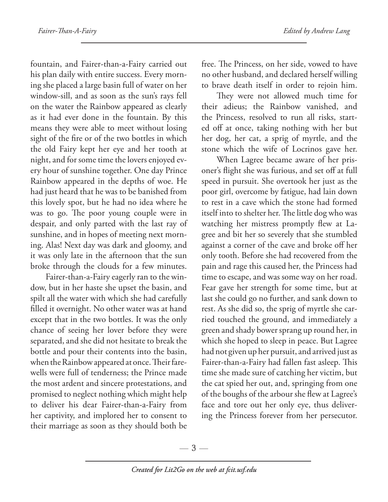fountain, and Fairer-than-a-Fairy carried out his plan daily with entire success. Every morning she placed a large basin full of water on her window-sill, and as soon as the sun's rays fell on the water the Rainbow appeared as clearly as it had ever done in the fountain. By this means they were able to meet without losing sight of the fire or of the two bottles in which the old Fairy kept her eye and her tooth at night, and for some time the lovers enjoyed every hour of sunshine together. One day Prince Rainbow appeared in the depths of woe. He had just heard that he was to be banished from this lovely spot, but he had no idea where he was to go. The poor young couple were in despair, and only parted with the last ray of sunshine, and in hopes of meeting next morning. Alas! Next day was dark and gloomy, and it was only late in the afternoon that the sun broke through the clouds for a few minutes.

Fairer-than-a-Fairy eagerly ran to the window, but in her haste she upset the basin, and spilt all the water with which she had carefully filled it overnight. No other water was at hand except that in the two bottles. It was the only chance of seeing her lover before they were separated, and she did not hesitate to break the bottle and pour their contents into the basin, when the Rainbow appeared at once. Their farewells were full of tenderness; the Prince made the most ardent and sincere protestations, and promised to neglect nothing which might help to deliver his dear Fairer-than-a-Fairy from her captivity, and implored her to consent to their marriage as soon as they should both be

free. The Princess, on her side, vowed to have no other husband, and declared herself willing to brave death itself in order to rejoin him.

They were not allowed much time for their adieus; the Rainbow vanished, and the Princess, resolved to run all risks, started off at once, taking nothing with her but her dog, her cat, a sprig of myrtle, and the stone which the wife of Locrinos gave her.

When Lagree became aware of her prisoner's flight she was furious, and set off at full speed in pursuit. She overtook her just as the poor girl, overcome by fatigue, had lain down to rest in a cave which the stone had formed itself into to shelter her. The little dog who was watching her mistress promptly flew at Lagree and bit her so severely that she stumbled against a corner of the cave and broke off her only tooth. Before she had recovered from the pain and rage this caused her, the Princess had time to escape, and was some way on her road. Fear gave her strength for some time, but at last she could go no further, and sank down to rest. As she did so, the sprig of myrtle she carried touched the ground, and immediately a green and shady bower sprang up round her, in which she hoped to sleep in peace. But Lagree had not given up her pursuit, and arrived just as Fairer-than-a-Fairy had fallen fast asleep. This time she made sure of catching her victim, but the cat spied her out, and, springing from one of the boughs of the arbour she flew at Lagree's face and tore out her only eye, thus delivering the Princess forever from her persecutor.

—  $3-$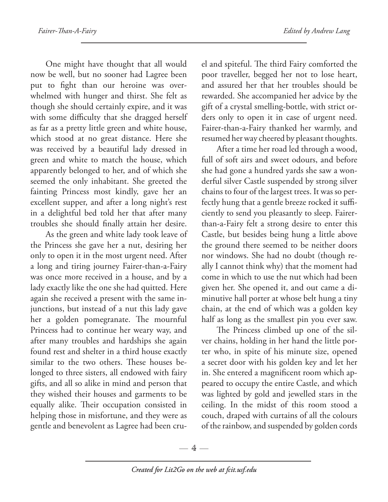One might have thought that all would now be well, but no sooner had Lagree been put to fight than our heroine was overwhelmed with hunger and thirst. She felt as though she should certainly expire, and it was with some difficulty that she dragged herself as far as a pretty little green and white house, which stood at no great distance. Here she was received by a beautiful lady dressed in green and white to match the house, which apparently belonged to her, and of which she seemed the only inhabitant. She greeted the fainting Princess most kindly, gave her an excellent supper, and after a long night's rest in a delightful bed told her that after many troubles she should finally attain her desire.

As the green and white lady took leave of the Princess she gave her a nut, desiring her only to open it in the most urgent need. After a long and tiring journey Fairer-than-a-Fairy was once more received in a house, and by a lady exactly like the one she had quitted. Here again she received a present with the same injunctions, but instead of a nut this lady gave her a golden pomegranate. The mournful Princess had to continue her weary way, and after many troubles and hardships she again found rest and shelter in a third house exactly similar to the two others. These houses belonged to three sisters, all endowed with fairy gifts, and all so alike in mind and person that they wished their houses and garments to be equally alike. Their occupation consisted in helping those in misfortune, and they were as gentle and benevolent as Lagree had been cru-

el and spiteful. The third Fairy comforted the poor traveller, begged her not to lose heart, and assured her that her troubles should be rewarded. She accompanied her advice by the gift of a crystal smelling-bottle, with strict orders only to open it in case of urgent need. Fairer-than-a-Fairy thanked her warmly, and resumed her way cheered by pleasant thoughts.

After a time her road led through a wood, full of soft airs and sweet odours, and before she had gone a hundred yards she saw a wonderful silver Castle suspended by strong silver chains to four of the largest trees. It was so perfectly hung that a gentle breeze rocked it sufficiently to send you pleasantly to sleep. Fairerthan-a-Fairy felt a strong desire to enter this Castle, but besides being hung a little above the ground there seemed to be neither doors nor windows. She had no doubt (though really I cannot think why) that the moment had come in which to use the nut which had been given her. She opened it, and out came a diminutive hall porter at whose belt hung a tiny chain, at the end of which was a golden key half as long as the smallest pin you ever saw.

The Princess climbed up one of the silver chains, holding in her hand the little porter who, in spite of his minute size, opened a secret door with his golden key and let her in. She entered a magnificent room which appeared to occupy the entire Castle, and which was lighted by gold and jewelled stars in the ceiling. In the midst of this room stood a couch, draped with curtains of all the colours of the rainbow, and suspended by golden cords

 $-4-$